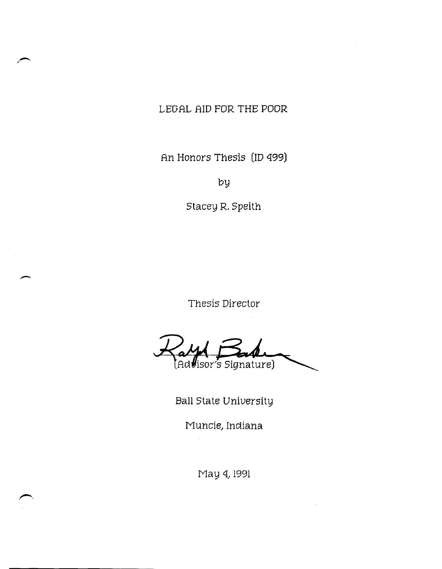## LEGAL AID FOR THE POOR

An Honors Thesis (ID 499)

by

Stacey R. Speith

Thesis Director

ha*lisor's Signature*)

Ball State University

Muncie} Indiana

May 4, 1991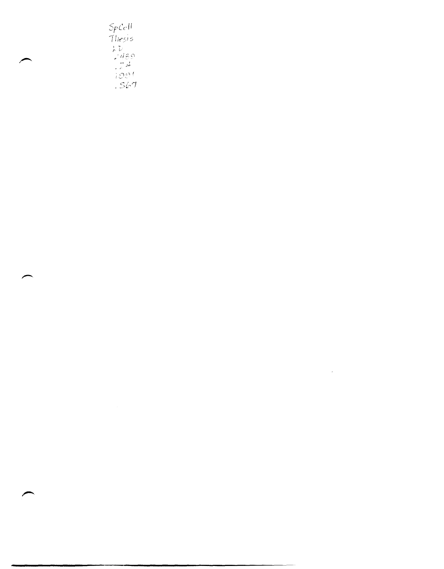$S_{\!P}$ Cell'  $11e^{\omega_{\text{min}}}$ I - *r* (./ **,..' II 0 c:** 

 $\mathcal{L}^{\text{max}}_{\text{max}}$  and  $\mathcal{L}^{\text{max}}_{\text{max}}$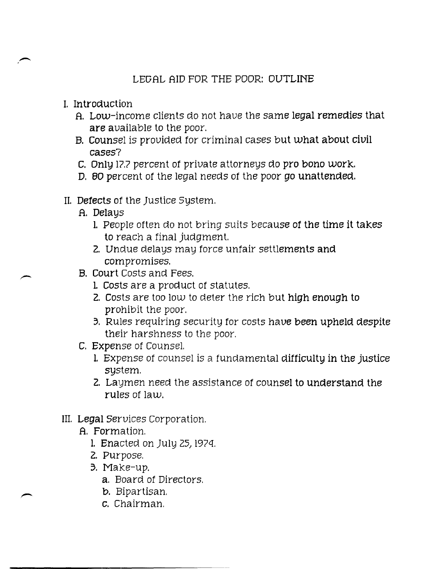## LEGAL AID FOR THE POOR: OUTLINE

- I. Introduction
	- A. Low-income clients do not have the same legal remedies that are available to the poor.
	- B. Counsel is provided for criminal cases but what about civil cases?
	- C. Only 17.7 percent of private attorneys do pro bono work.
	- D. 60 percent of the legal needs of the poor go unattended.
- II. Defects of the Justice System.
	- A. Delays
		- 1. People often do not bring suits because of the time it takes to reach a final judgment.
		- 2. Undue delays may force unfair settlements and com promises.
	- B. Court Costs and Fees.
		- 1. Costs are a product of statutes.
		- 2. Costs are too low to deter the rich but high enough to prohibit the poor.
		- 3. Rules requiring security for costs have been upheld despite their harshness to the poor.
	- C. Expense of Counsel.
		- 1. Expense of counsel is a fundamental difficulty in the justice system.
		- 2. Laymen need the assistance of counsel to understand the rules of law.
- III. Legal Services Corporation.
	- A. Formation.
		- 1. Enacted on July *25*1 197Q.
		- 2. Purpose.
		- 3. Make-up.
			- a. Board of Directors.
			- b. Bipartisan.
			- c. Chairman.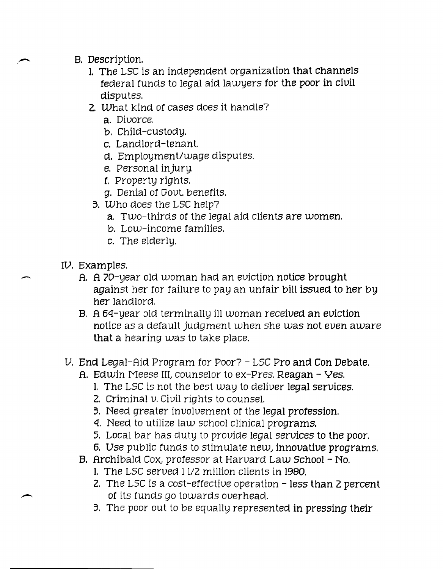- B. Description.
	- 1. The L5C is an independent organization that channels federal funds to legal aid lawyers for the poor in civil disputes.
	- 2. What kind of cases does it handle?
		- a. Divorce.
		- b. Child-custody.
		- c. Landlord-tenant.
		- *d.* Employment/wage disputes.
		- e. Personal injury.
		- f. Property rights.
		- *g.* Denial of Dovt. benefits.
	- 3. Who does the L5C help?
		- a. Two-thirds of the legal aid clients are women.
		- b. Low-income families.
		- c. The elderly.
- IV. Examples.
	- A. A 70-year old woman had an eviction notice brought against her for failure to pay an unfair bill issued to her by her landlord.
	- B. A 6Q-year old terminally ill woman received an eviction notice as a default judgment when she was not even aware that a hearing was to take place.
- *V.* End Legal-Aid Program for Poor? LSC Pro and Con Debate.
	- A. Edwin Meese III, counselor to  $ex-Pres$ . Reagan Yes.
		- 1. The L5C is not the best way to deliver legal services.
		- 2. Criminal *v.* Civil rights to counsel.
		- *3.* Need greater involvement of the legal profession.
		- Q. Need to utilize law school clinical programs.
		- 5. Local bar has duty to provide legal services to the poor.
		- 6. Use public funds to stimulate new, innovative programs.
	- B. Archibald Cox, professor at Harvard Law School No.
		- 1. The L5C served 1112 million clients in 199D.
		- *2.* The L5C is a cost-effective operation less than 2 percent of its funds go towards overhead.
		- 3. The poor out to be equally represented in pressing their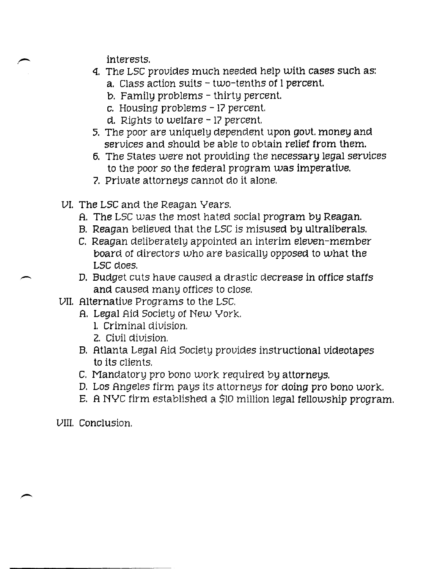interests.

- q. The LSC provides much needed help with cases such as:
	- a. Class action suits two-tenths of 1 percent.
	- b. Family problems thirty percent.
	- c. Housing problems 17 percent.
	- *d.* Rights to welfare 17 percent.
- S. The poor are uniquely dependent upon govt. money and services and should be able to obtain relief from them.
- 6. The States were not providing the necessary legal services to the poor so the federal program was imperative.
- 7. Private attorneys cannot do it alone.
- VI. The LSC and the Reagan Years.
	- A. The LSC was the most hated social program by Reagan.
	- B. Reagan believed that the LSC is misused by ultraliberals.
	- C. Reagan deliberately appointed an interim eleven-member board of directors who are basically opposed to what the LSC does.
	- D. Budget cuts have caused a drastic decrease in office staffs and caused many offices to close.
- VII. Alternative Programs to the LSC.
	- A. Legal Aid Society of New York.
		- 1. Criminal division.
		- 2. Civil division.
	- B. Atlanta Legal Aid Society provides instructional videotapes to its clients.
	- C. Mandatory pro bono work required by attorneys.
	- D. Los Angeles firm pays its attorneys for doing pro bono work.
	- E. A NYC firm established a \$10 million legal fellowship program.

VIII. Conclusion.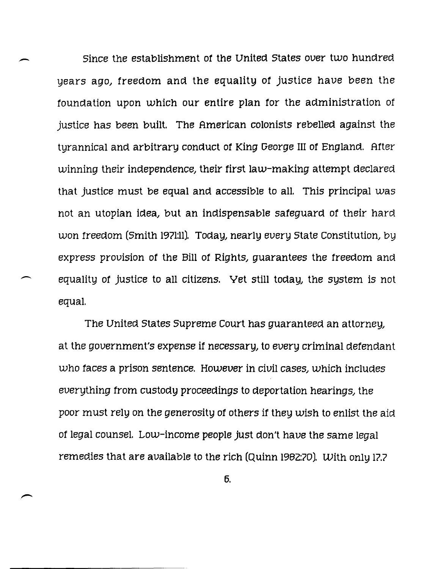Since the establishment of the United States over two hundred years ago, freedom and the equality of justice have been the foundation upon which our entire plan for the administration of justice has been built. The American colonists rebelled against the tyrannical and arbitrary conduct of King George III of England. After winning their independence, their first law-making attempt declared that justice must be equal and accessible to all. This principal was not an utopian idea, but an indispensable safeguard of their hard won freedom (Smith 1971:11). Today, nearly every State Constitution, by express provision of the Bill of Rights, guarantees the freedom and equality of justice to all citizens. Yet still today, the system is not equal.

--

 $\overline{\phantom{0}}$ 

The United States Supreme Court has guaranteed an attorney, at the government's expense if necessary, to every criminal defendant who faces a prison sentence. However in civil cases, which includes everything from custody proceedings to deportation hearings, the poor must rely on the generosity of others if they wish to enlist the aid of legal counsel. Low-income people just don't have the same legal remedies that are available to the rich (Quinn 1962:70). With only 17.7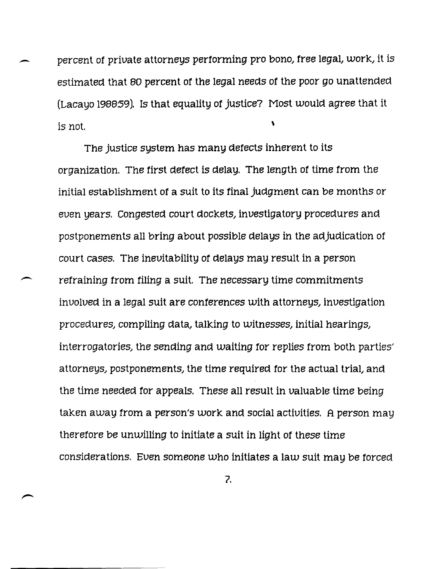percent of private attorneys performing pro bono, free legal, work, it is estimated that 60 percent of the legal needs of the poor go unattended (Lacayo 1966:59). Is that equality of justice? Most would agree that it  $\frac{1}{1}$  is not.

The justice system has many defects inherent to its organization. The first defect is delay. The length of time from the initial establishment of a suit to its final judgment can be months or even years. Congested court dockets, investigatory procedures and postponements all bring about possible delays in the adjudication of court cases. The inevitability of delays may result in a person refraining from filing a suit. The necessary time commitments involved in a legal suit are conferences with attorneys, investigation procedures, compiling data, talking to witnesses, initial hearings, interrogatories, the sending and waiting for replies from both parties' attorneys, postponements, the time required for the actual trial, and the time needed for appeals. These all result in valuable time being taken away from a person's work and social activities. A person may therefore be unwilling to initiate a suit in light of these time considerations. Even someone who initiates a law suit may be forced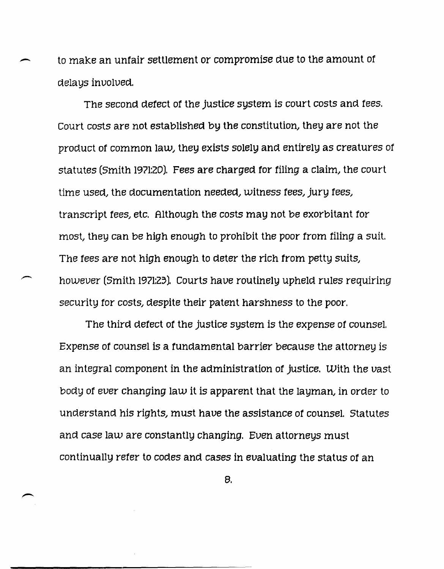- to make an untair settlement or compromise *due* to the amount *ot*  delays involved.

The second detect *ot* the justice system is court costs and fees. Court costs are not established by the constitution, they are not the product *ot* common law, they exists solely and entirely as creatures of statutes (Smith 1971:20). *Fees* are charged *tor* tiling a claim, the court time *used,* the documentation *needed,* witness *tees,* jury *tees,*  transcript *tees,* etc. Although the costs may not be exorbitant for most, they can be high enough to prohibit the poor *trom* tiling a suit. The *tees* are not high enough to deter the rich *trom* petty suits, however (Smith 1971:23). Courts have routinely upheld rules requiring security for costs, despite their patent harshness to the poor.

The third detect of the justice system is the expense *ot* counsel. Expense *ot* counsel is a tundamental barrier because the attorney is an integral component in the administration *ot* justice. With the vast body *ot ever* changing law it is apparent that the layman, in *order* to understand his rights, must have the assistance *ot* counsel. Statutes and case lau' are constantly changing. *Even* attorneys must continually refer to codes and cases in evaluating the status of an

S.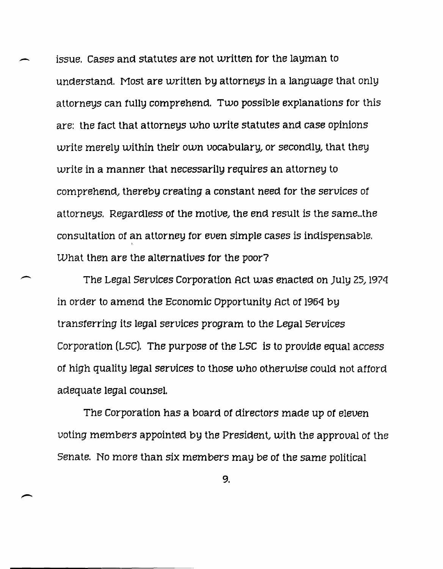issue. Cases and statutes are not written for the layman to understand. Most are written by attorneys in a language that only attorneys can fully comprehend. Two possible explanations for this are: the fact that attorneys who write statutes and case opinions write merely within their own vocabulary, or secondly, that they write in a manner that necessarily requires an attorney to comprehend, thereby creating a constant need for the services of attorneys. Regardless of the motive, the end result is the same ... the consultation of an attorney for even simple cases is indispensable. i What then are the alternatives for the poor?

The Legal Services Corporation Act was enacted on July 25, 1974 in order to amend the Economic Opportunity Act of 195Q by transferring its legal services program to the Legal Services Corpora tion (LSC). The purpose of the L5C is to provide equal access of high quality legal services to those who otherwise could not afford adequate legal counsel.

The Corporation has a board of directors made up of eleven voting members appointed by the President, with the approval of the Senate. No more than six members may be of the same political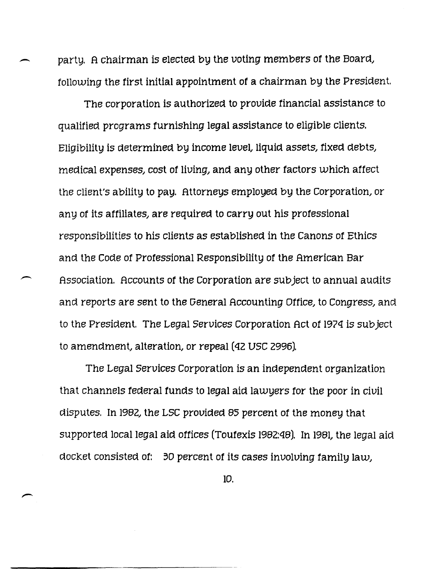party. A chairman is elected by the voting members of the Board, following the first initial appointment of a chairman by the President.

The corporation is authorized to provide financial assistance to qualified programs furnishing legal assistance to eligible clients. Eligibility is determined by income level, liquid assets, fixed debts, medical expenses, cost of living, and any other factors which affect the client's ability to pay. Attorneys employed by the Corporation, or any of its affiliates, are required to carry out his professional responsibilities to his clients as established in the Canons of Ethics and the Code of Professional Responsibility of the American Bar Association. Accounts of the Corporation are subject to annual audits and reports are sent to the General Accounting Office, to Congress, and to the President. The Legal Services Corporation Act of 197q is subject to amendment, alteration, or repeal (42 USC 2996).

The Legal Services Corporation is an independent organization that channels federal funds to legal aid lawyers for the poor in civil disputes. In 1982, the LSC provided 85 percent of the money that supported local legal aid offices (Toufexis 1982:48). In 1981, the legal aid docket consisted of:  $\partial$  percent of its cases involving family law,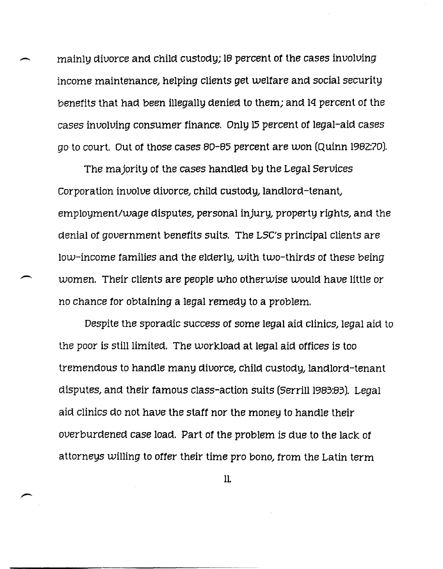- mainly divorce and child custody; 16 percent of the *cases* involving income maintenance, helping clients get welfare and social security benefits that had been illegally denied to them; and lq percent of the *cases* involving consumer finance. Only IS percent of legal-aid *cases go* to court. Out of those *cases* 60-65 percent are won (Quinn 1962:70).

The majority of the *cases* handled by the Legal Services Corporation involve divorce, child custody, landlord-tenant employment/wage disputes, personal injury, property rights, and the denial of government benefits suits. The LSC's principal clients are low-income families and the elderly, with two-thirds of these being women. Their clients are people who otherwise would have little or no chance for obtaining a legal *remedy* to a problem.

Despite the sporadic success of some legal aid clinics, legal aid to the poor is still limited. The workload at legal aid offices is too tremendous to handle many divorce, child custody, landlord-tenant disputes, and their famous class-action suits (Serri11 1963:63). Legal aid clinics do not have the staff nor the money to handle their overburdened case load. Part of the problem is due to the lack of attorneys willing to offer their time pro bono, from the Latin term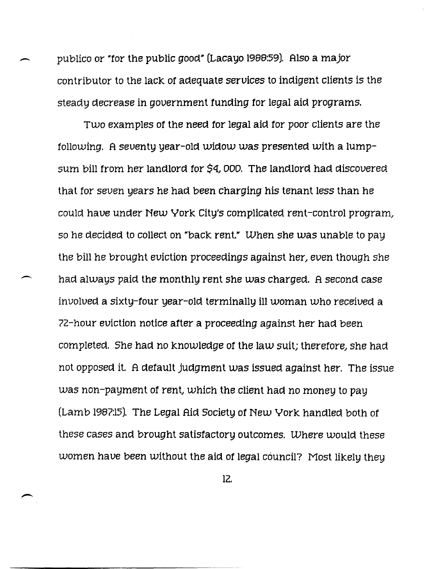- publico or "'for the public good" (Lacayo 1966:59). Also a major contributor to the lack of adequate services to indigent clients is the steady decrease in government funding for legal aid programs.

Two examples of the need for legal aid for poor clients are the following. A seventy year-old widow was presented with a lumpsum bill from her landlord for *\$'1,* DOD. The landlord had discovered that for seven years he had been charging his tenant less than he could have under New York City's complicated rent-control program, so he decided to collect on "'back rent." When she was unable to pay the bill he brought eviction proceedings against her, even though she had always paid the monthly rent she was charged. A second case involved a sixty-four year-old terminally ill woman who received a 72-hour eviction notice after a proceeding against her had been completed. She had no knowledge of the law suit; therefore, she had not opposed it. A default jUdgment was issued against her. The issue was non-payment of rent, which the client had no money to pay (Lamb 1967:15). The Legal Aid 50ciety of New York handled both of these cases and brought satisfactory outcomes. Where would these women have been without the aid of legal council? Most likely they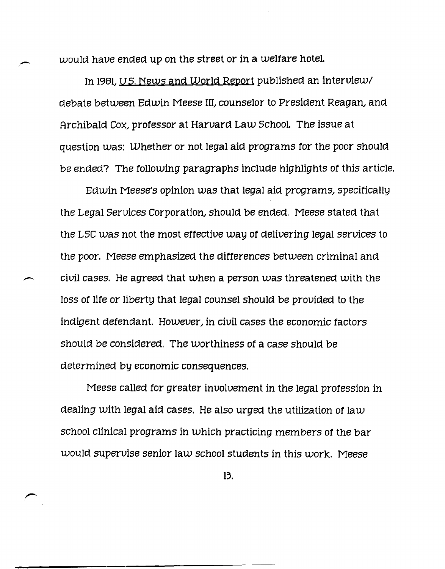would have ended up on the street or in a welfare hotel.

In 1981., U.s. News and World Report published an interview/ debate between Edwin Meese III, counselor to President Reagan, and Archibald Cox, professor at Harvard Law School. The issue at question was: Whether or not legal aid programs for the poor should be ended? The following paragraphs include highlights of this article.

Edwin Meese's opinion was that legal aid programs, specifically the Legal Services Corporation, should be ended. Meese stated that the LSC was not the most effective way of delivering legal services to the poor. Meese emphasized the differences between criminal and civil cases. He agreed that when a person was threatened with the loss of life or liberty that legal counsel should be provided to the indigent defendant. However, in civil cases the economic factors should be considered. The worthiness of a *case* should be determined by economic consequences.

Meese called for greater involvement in the legal profession in dealing with legal aid cases. He also urged the utilization of law school clinical programs in which practicing members of the bar would supervise senior law school students in this work. Meese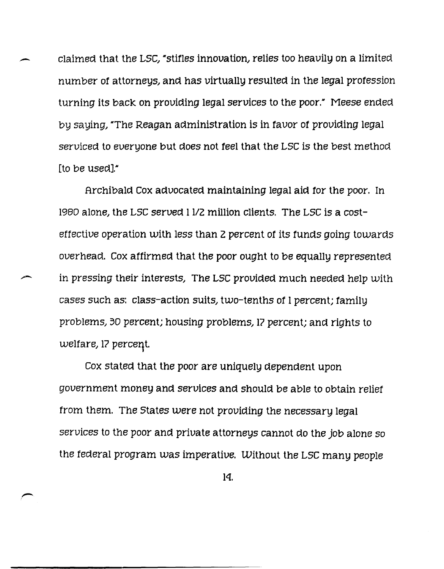claimed that the LSC, "stifles innovation, relies too heavily on a limited number of attorneys, and has virtually resulted in the legal profession turning its back on providing legal services to the poor." Meese ended by saying, "The Reagan administration is in favor of providing legal serviced to everyone but does not feel that the LSC is the best method [to be used]."

Archibald Cox advocated maintaining legal aid for the poor. In 1980 alone, the LSC served 1 1/2 million clients. The LSC is a costeffective operation with less than 2 percent of its funds going towards overhead. Cox affirmed that the poor ought to be equally represented in pressing their interests, The LSC provided much needed help with cases such as: class-action suits, two-tenths of 1 percent; family problems, 30 percent; housing problems, 17 percent; and rights to welfare, 17 percent.

Cox stated that the poor are uniquely dependent upon government money and services and should be able to obtain relief from them. The States were not providing the necessary legal services to the poor and private attorneys cannot do the job alone so the federal program was imperative. Without the LSC many people

IQ.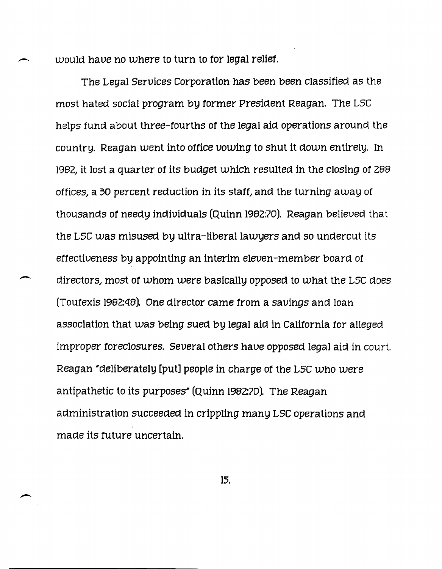would have no where to turn to for legal relief.

 $\overline{\phantom{a}}$ 

The Legal Services Corporation has been been classified as the most hated social program by former President Reagan. The LSC helps fund about three-fourths of the legal aid operations around the country. Reagan went into office vowing to shut it down entirely. In 1982, it lost a quarter of its budget which resulted in the closing of 288 offices, a 30 percent reduction in its staff, and the turning away of thousands of needy individuals (Quinn 19B2:70). Reagan believed that the LSC was misused by ultra-liberal lawyers and so undercut its effectiveness by appointing an interim eleven-member board of directors, most of whom were basically opposed to what the LSC does (Toufexis 1982:48). One director came from a savings and loan association that was being sued by legal aid in California for alleged improper foreclosures. Several others have opposed legal aid in court. Reagan "deliberately [put] people in charge of the LSC who were antipathetic to its purposes" (Quinn 19B2:70). The Reagan administration succeeded in crippling many LSC operations and made its future uncertain.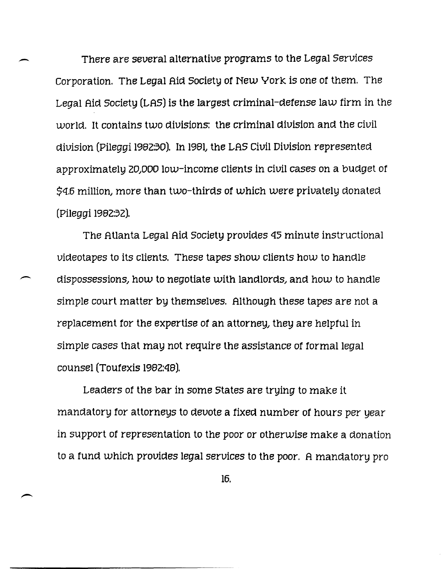There are several alternative programs to the Legal Services Corporation. The Legal Aid Society of New York is one of them. The Legal Aid Society (LAS) is the largest criminal-defense law firm in the world. It contains two divisions: the criminal division and the civil division (Pileggi 1992:30). In 1991, the LAS Civil Division represented approximately 20,000 low-income clients in civil cases on a budget of \$Q.5 million, more than two-thirds of which were privately donated (pileggi 1992:32).

The Atlanta Legal Aid Society provides qS minute instructional videotapes to its clients. These tapes show clients how to handle dispossessions, how to negotiate with landlords, and how to handle simple court matter by themselves. Although these tapes are not a replacement for the expertise of an attorney, they are helpful in simple cases that may not require the assistance of formal legal counsel (Toufexis 1992:Q9).

Leaders of the bar in some States are trying to make it mandatory for attorneys to devote a fixed number of hours per year in support of representation to the poor or otherwise make a donation to a fund which provides legal services to the poor. A mandatory pro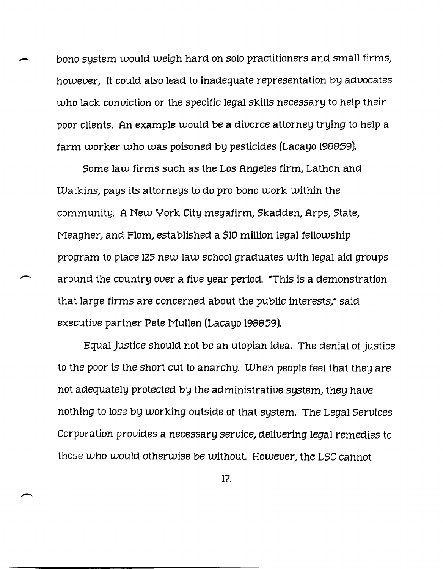- bono system would weigh hard on solo practitioners and small firms, *however,* It could also lead to inadequate representation by advocates who lack conviction or the specific legal skills necessary to help their poor clients. An example would be a *divorce* attorney trying to help a farm worker who was poisoned by pesticides (Lacayo 1966:59).

Some law firms such as the Los Angeles firm, Lathon and Watkins, pays its attorneys to do pro bono work within the community. A New York City megafirm, Skadden, Arps, State, Meagher, and Flom, established a \$10 million legal fellowship program to place 125 new law school graduates with legal aid groups around the country *over* a five year period. "This is a demonstration that large firms are concerned about the public interests," said *executive* partner Pete Mullen (Lacayo 1966:59).

Equal justice should not be an utopian idea. The denial of justice to the poor is the short cut to anarchy. When people feel that they are not adequately protected by the administrative system, they *have*  nothing to lose by working outside of that system. The Legal Services Corporation provides a necessary *service,* delivering legal remedies to those who would otherwise be without. However, the LSC cannot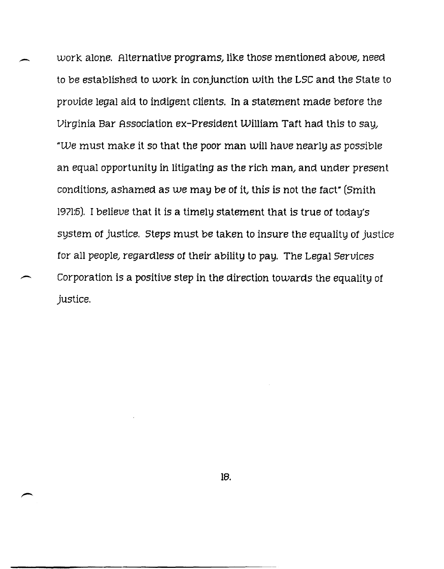work alone. Alternative programs, like those mentioned above, need to be established to work in conjunction with the LSC and the State to provide legal aid to indigent clients. In a statement made before the Virginia Bar Association ex-President William Taft had this to say, "'We must make it so that the poor man will have nearly as possible an equal opportunity in litigating as the rich man, and under present conditions, ashamed as we may be of it, this is not the fact<sup>\*</sup> (Smith 1971:5). I believe that it is a timely statement that is true of today's system of justice. Steps must be taken to insure the equality of justice for all people, regardless of their ability to pay. The Legal Services Corporation is a positive step in the direction towards the equality of justice.